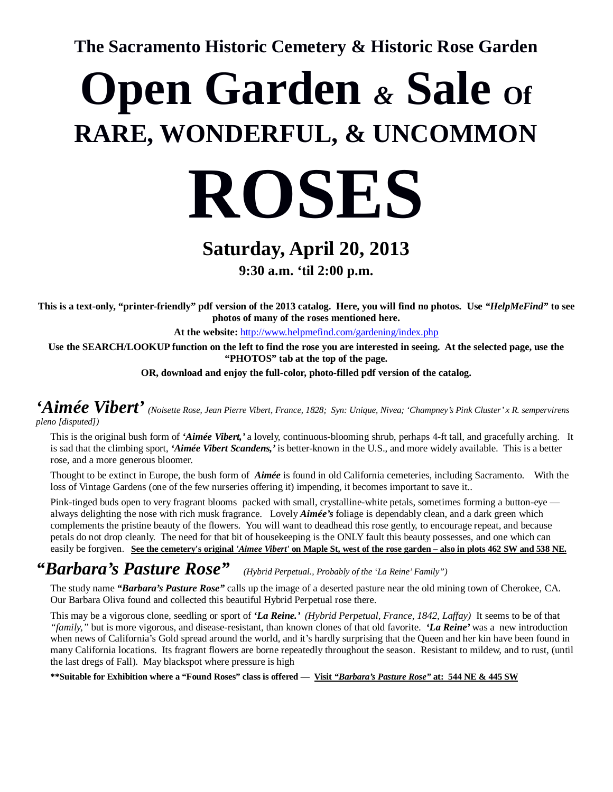**The Sacramento Historic Cemetery & Historic Rose Garden**

# **Open Garden** & Sale of **RARE, WONDERFUL, & UNCOMMON**



### **Saturday, April 20, 2013 9:30 a.m. 'til 2:00 p.m.**

**This is a text-only, "printer-friendly" pdf version of the 2013 catalog. Here, you will find no photos. Use** *"HelpMeFind"* **to see photos of many of the roses mentioned here.** 

**At the website:** http://www.helpmefind.com/gardening/index.php

**Use the SEARCH/LOOKUP function on the left to find the rose you are interested in seeing. At the selected page, use the "PHOTOS" tab at the top of the page.** 

**OR, download and enjoy the full-color, photo-filled pdf version of the catalog.** 

*'Aimée Vibert' (Noisette Rose, Jean Pierre Vibert, France, 1828; Syn: Unique, Nivea; 'Champney's Pink Cluster' x R. sempervirens pleno [disputed])* 

This is the original bush form of *'Aimée Vibert,'* a lovely, continuous-blooming shrub, perhaps 4-ft tall, and gracefully arching. It is sad that the climbing sport, *'Aimée Vibert Scandens,'* is better-known in the U.S., and more widely available. This is a better rose, and a more generous bloomer.

Thought to be extinct in Europe, the bush form of *Aimée* is found in old California cemeteries, including Sacramento. With the loss of Vintage Gardens (one of the few nurseries offering it) impending, it becomes important to save it..

Pink-tinged buds open to very fragrant blooms packed with small, crystalline-white petals, sometimes forming a button-eye always delighting the nose with rich musk fragrance. Lovely *Aimée's* foliage is dependably clean, and a dark green which complements the pristine beauty of the flowers. You will want to deadhead this rose gently, to encourage repeat, and because petals do not drop cleanly. The need for that bit of housekeeping is the ONLY fault this beauty possesses, and one which can easily be forgiven. **See the cemetery's original** *'Aimee Vibert'* **on Maple St, west of the rose garden – also in plots 462 SW and 538 NE.**

### *"Barbara's Pasture Rose" (Hybrid Perpetual., Probably of the 'La Reine' Family")*

The study name *"Barbara's Pasture Rose"* calls up the image of a deserted pasture near the old mining town of Cherokee, CA. Our Barbara Oliva found and collected this beautiful Hybrid Perpetual rose there.

This may be a vigorous clone, seedling or sport of *'La Reine.' (Hybrid Perpetual, France, 1842, Laffay)* It seems to be of that *"family,"* but is more vigorous, and disease-resistant, than known clones of that old favorite. *'La Reine'* was a new introduction when news of California's Gold spread around the world, and it's hardly surprising that the Queen and her kin have been found in many California locations. Its fragrant flowers are borne repeatedly throughout the season. Resistant to mildew, and to rust, (until the last dregs of Fall). May blackspot where pressure is high

**\*\*Suitable for Exhibition where a "Found Roses" class is offered — Visit** *"Barbara's Pasture Rose"* **at: 544 NE & 445 SW**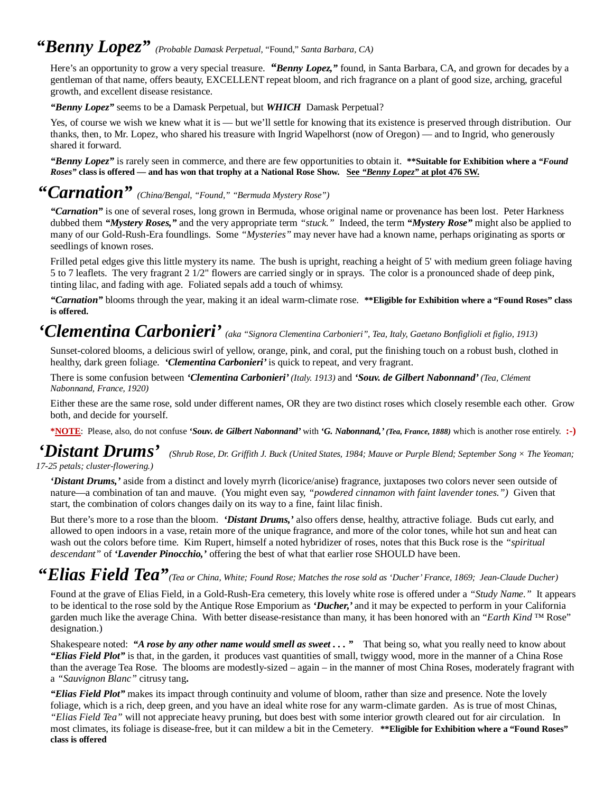### *"Benny Lopez" (Probable Damask Perpetual,* "Found," *Santa Barbara, CA)*

Here's an opportunity to grow a very special treasure. *"Benny Lopez,"* found, in Santa Barbara, CA, and grown for decades by a gentleman of that name, offers beauty, EXCELLENT repeat bloom, and rich fragrance on a plant of good size, arching, graceful growth, and excellent disease resistance.

*"Benny Lopez"* seems to be a Damask Perpetual, but *WHICH* Damask Perpetual?

Yes, of course we wish we knew what it is — but we'll settle for knowing that its existence is preserved through distribution. Our thanks, then, to Mr. Lopez, who shared his treasure with Ingrid Wapelhorst (now of Oregon) — and to Ingrid, who generously shared it forward.

*"Benny Lopez"* is rarely seen in commerce, and there are few opportunities to obtain it. **\*\*Suitable for Exhibition where a** *"Found Roses"* **class is offered — and has won that trophy at a National Rose Show. See** *"Benny Lopez"* **at plot 476 SW.**

### **"***Carnation" (China/Bengal, "Found," "Bermuda Mystery Rose")*

*"Carnation"* is one of several roses, long grown in Bermuda, whose original name or provenance has been lost. Peter Harkness dubbed them *"Mystery Roses,"* and the very appropriate term *"stuck."* Indeed, the term *"Mystery Rose"* might also be applied to many of our Gold-Rush-Era foundlings. Some *"Mysteries"* may never have had a known name, perhaps originating as sports or seedlings of known roses.

Frilled petal edges give this little mystery its name. The bush is upright, reaching a height of 5' with medium green foliage having 5 to 7 leaflets. The very fragrant 2 1/2" flowers are carried singly or in sprays. The color is a pronounced shade of deep pink, tinting lilac, and fading with age. Foliated sepals add a touch of whimsy.

*"Carnation"* blooms through the year, making it an ideal warm-climate rose. **\*\*Eligible for Exhibition where a "Found Roses" class is offered.** 

### *'Clementina Carbonieri' (aka "Signora Clementina Carbonieri", Tea, Italy, Gaetano Bonfiglioli et figlio, 1913)*

Sunset-colored blooms, a delicious swirl of yellow, orange, pink, and coral, put the finishing touch on a robust bush, clothed in healthy, dark green foliage. *'Clementina Carbonieri'* is quick to repeat, and very fragrant.

There is some confusion between *'Clementina Carbonieri' (Italy. 1913)* and *'Souv. de Gilbert Nabonnand' (Tea, Clément Nabonnand, France, 1920)* 

Either these are the same rose, sold under different names, OR they are two distinct roses which closely resemble each other. Grow both, and decide for yourself.

**\*NOTE**: Please, also, do not confuse *'Souv. de Gilbert Nabonnand'* with *'G. Nabonnand,' (Tea, France, 1888)* which is another rose entirely. **:-)**

*'Distant Drums' (Shrub Rose, Dr. Griffith J. Buck (United States, 1984; Mauve or Purple Blend; September Song × The Yeoman; 17-25 petals; cluster-flowering.)*

*'Distant Drums,'* aside from a distinct and lovely myrrh (licorice/anise) fragrance, juxtaposes two colors never seen outside of nature—a combination of tan and mauve. (You might even say, *"powdered cinnamon with faint lavender tones.")* Given that start, the combination of colors changes daily on its way to a fine, faint lilac finish.

But there's more to a rose than the bloom. *'Distant Drums,'* also offers dense, healthy, attractive foliage. Buds cut early, and allowed to open indoors in a vase, retain more of the unique fragrance, and more of the color tones, while hot sun and heat can wash out the colors before time. Kim Rupert, himself a noted hybridizer of roses, notes that this Buck rose is the *"spiritual descendant"* of *'Lavender Pinocchio,'* offering the best of what that earlier rose SHOULD have been.

### **"***Elias Field Tea"(Tea or China, White; Found Rose; Matches the rose sold as 'Ducher' France, 1869; Jean-Claude Ducher)*

Found at the grave of Elias Field, in a Gold-Rush-Era cemetery, this lovely white rose is offered under a *"Study Name."* It appears to be identical to the rose sold by the Antique Rose Emporium as *'Ducher,'* and it may be expected to perform in your California garden much like the average China. With better disease-resistance than many, it has been honored with an "*Earth Kind ™* Rose" designation.)

Shakespeare noted: *"A rose by any other name would smell as sweet . . . "* That being so, what you really need to know about *"Elias Field Plot"* is that, in the garden, it produces vast quantities of small, twiggy wood, more in the manner of a China Rose than the average Tea Rose. The blooms are modestly-sized – again – in the manner of most China Roses, moderately fragrant with a *"Sauvignon Blanc"* citrusy tang**.** 

*"Elias Field Plot"* makes its impact through continuity and volume of bloom, rather than size and presence. Note the lovely foliage, which is a rich, deep green, and you have an ideal white rose for any warm-climate garden. As is true of most Chinas, *"Elias Field Tea"* will not appreciate heavy pruning, but does best with some interior growth cleared out for air circulation. In most climates, its foliage is disease-free, but it can mildew a bit in the Cemetery. **\*\*Eligible for Exhibition where a "Found Roses" class is offered**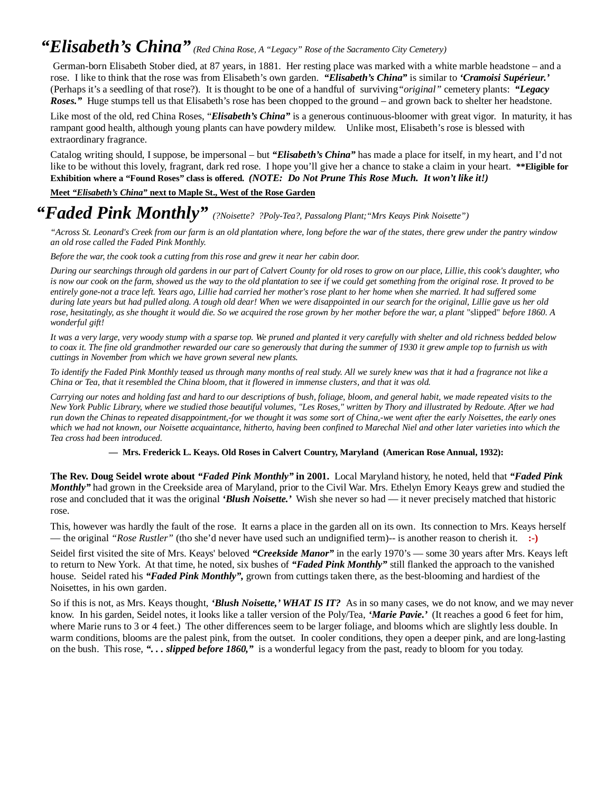### *"Elisabeth's China" (Red China Rose, A "Legacy" Rose of the Sacramento City Cemetery)*

 German-born Elisabeth Stober died, at 87 years, in 1881. Her resting place was marked with a white marble headstone – and a rose. I like to think that the rose was from Elisabeth's own garden. *"Elisabeth's China"* is similar to *'Cramoisi Supérieur.'*  (Perhaps it's a seedling of that rose?). It is thought to be one of a handful of surviving*"original"* cemetery plants: *"Legacy Roses."* Huge stumps tell us that Elisabeth's rose has been chopped to the ground – and grown back to shelter her headstone.

Like most of the old, red China Roses, "*Elisabeth's China"* is a generous continuous-bloomer with great vigor. In maturity, it has rampant good health, although young plants can have powdery mildew. Unlike most, Elisabeth's rose is blessed with extraordinary fragrance.

Catalog writing should, I suppose, be impersonal – but *"Elisabeth's China"* has made a place for itself, in my heart, and I'd not like to be without this lovely, fragrant, dark red rose. I hope you'll give her a chance to stake a claim in your heart. **\*\*Eligible for Exhibition where a "Found Roses" class is offered.** *(NOTE: Do Not Prune This Rose Much. It won't like it!)*

**Meet** *"Elisabeth's China"* **next to Maple St., West of the Rose Garden** 

### *"Faded Pink Monthly" (?Noisette? ?Poly-Tea?, Passalong Plant;"Mrs Keays Pink Noisette")*

*"Across St. Leonard's Creek from our farm is an old plantation where, long before the war of the states, there grew under the pantry window an old rose called the Faded Pink Monthly.* 

*Before the war, the cook took a cutting from this rose and grew it near her cabin door.* 

*During our searchings through old gardens in our part of Calvert County for old roses to grow on our place, Lillie, this cook's daughter, who is now our cook on the farm, showed us the way to the old plantation to see if we could get something from the original rose. It proved to be entirely gone-not a trace left. Years ago, Lillie had carried her mother's rose plant to her home when she married. It had suffered some during late years but had pulled along. A tough old dear! When we were disappointed in our search for the original, Lillie gave us her old rose, hesitatingly, as she thought it would die. So we acquired the rose grown by her mother before the war, a plant "slipped" before 1860. A wonderful gift!* 

*It was a very large, very woody stump with a sparse top. We pruned and planted it very carefully with shelter and old richness bedded below to coax it. The fine old grandmother rewarded our care so generously that during the summer of 1930 it grew ample top to furnish us with cuttings in November from which we have grown several new plants.* 

*To identify the Faded Pink Monthly teased us through many months of real study. All we surely knew was that it had a fragrance not like a China or Tea, that it resembled the China bloom, that it flowered in immense clusters, and that it was old.* 

*Carrying our notes and holding fast and hard to our descriptions of bush, foliage, bloom, and general habit, we made repeated visits to the New York Public Library, where we studied those beautiful volumes, "Les Roses," written by Thory and illustrated by Redoute. After we had run down the Chinas to repeated disappointment,-for we thought it was some sort of China,-we went after the early Noisettes, the early ones which we had not known, our Noisette acquaintance, hitherto, having been confined to Marechal Niel and other later varieties into which the Tea cross had been introduced.* 

**— Mrs. Frederick L. Keays. Old Roses in Calvert Country, Maryland (American Rose Annual, 1932):**

**The Rev. Doug Seidel wrote about** *"Faded Pink Monthly"* **in 2001.** Local Maryland history, he noted, held that *"Faded Pink Monthly"* had grown in the Creekside area of Maryland, prior to the Civil War. Mrs. Ethelyn Emory Keays grew and studied the rose and concluded that it was the original *'Blush Noisette.'* Wish she never so had — it never precisely matched that historic rose.

This, however was hardly the fault of the rose. It earns a place in the garden all on its own. Its connection to Mrs. Keays herself — the original *"Rose Rustler"* (tho she'd never have used such an undignified term)-- is another reason to cherish it. **:-)**

Seidel first visited the site of Mrs. Keays' beloved *"Creekside Manor"* in the early 1970's — some 30 years after Mrs. Keays left to return to New York. At that time, he noted, six bushes of *"Faded Pink Monthly"* still flanked the approach to the vanished house. Seidel rated his *"Faded Pink Monthly",* grown from cuttings taken there, as the best-blooming and hardiest of the Noisettes, in his own garden.

So if this is not, as Mrs. Keays thought, *'Blush Noisette,' WHAT IS IT?* As in so many cases, we do not know, and we may never know. In his garden, Seidel notes, it looks like a taller version of the Poly/Tea, *'Marie Pavie.'* (It reaches a good 6 feet for him, where Marie runs to 3 or 4 feet.) The other differences seem to be larger foliage, and blooms which are slightly less double. In warm conditions, blooms are the palest pink, from the outset. In cooler conditions, they open a deeper pink, and are long-lasting on the bush. This rose, *". . . slipped before 1860,"* is a wonderful legacy from the past, ready to bloom for you today.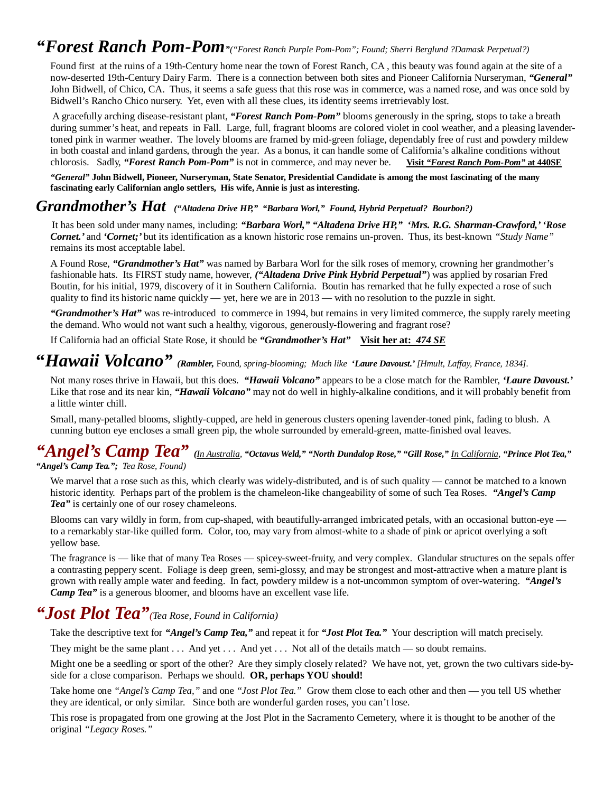### *"Forest Ranch Pom-Pom"("Forest Ranch Purple Pom-Pom"; Found; Sherri Berglund ?Damask Perpetual?)*

Found first at the ruins of a 19th-Century home near the town of Forest Ranch, CA , this beauty was found again at the site of a now-deserted 19th-Century Dairy Farm. There is a connection between both sites and Pioneer California Nurseryman, *"General"*  John Bidwell, of Chico, CA. Thus, it seems a safe guess that this rose was in commerce, was a named rose, and was once sold by Bidwell's Rancho Chico nursery. Yet, even with all these clues, its identity seems irretrievably lost.

 A gracefully arching disease-resistant plant, *"Forest Ranch Pom-Pom"* blooms generously in the spring, stops to take a breath during summer's heat, and repeats in Fall. Large, full, fragrant blooms are colored violet in cool weather, and a pleasing lavendertoned pink in warmer weather. The lovely blooms are framed by mid-green foliage, dependably free of rust and powdery mildew in both coastal and inland gardens, through the year. As a bonus, it can handle some of California's alkaline conditions without chlorosis. Sadly, *"Forest Ranch Pom-Pom"* is not in commerce, and may never be. **Visit** *"Forest Ranch Pom-Pom"* **at 440SE**

*"General"* **John Bidwell, Pioneer, Nurseryman, State Senator, Presidential Candidate is among the most fascinating of the many fascinating early Californian anglo settlers, His wife, Annie is just as interesting.** 

#### *Grandmother's Hat ("Altadena Drive HP," "Barbara Worl," Found, Hybrid Perpetual? Bourbon?)*

It has been sold under many names, including: *"Barbara Worl," "Altadena Drive HP," 'Mrs. R.G. Sharman-Crawford,' 'Rose Cornet.'* and *'Cornet;'* but its identification as a known historic rose remains un-proven. Thus, its best-known *"Study Name"*  remains its most acceptable label.

A Found Rose, *"Grandmother's Hat"* was named by Barbara Worl for the silk roses of memory, crowning her grandmother's fashionable hats. Its FIRST study name, however, *("Altadena Drive Pink Hybrid Perpetual"*) was applied by rosarian Fred Boutin, for his initial, 1979, discovery of it in Southern California. Boutin has remarked that he fully expected a rose of such quality to find its historic name quickly — yet, here we are in  $2013$  — with no resolution to the puzzle in sight.

*"Grandmother's Hat"* was re-introduced to commerce in 1994, but remains in very limited commerce, the supply rarely meeting the demand. Who would not want such a healthy, vigorous, generously-flowering and fragrant rose?

If California had an official State Rose, it should be *"Grandmother's Hat"* **Visit her at:** *474 SE*

### **"***Hawaii Volcano" (Rambler,* Found*, spring-blooming; Much like 'Laure Davoust.' [Hmult, Laffay, France, 1834].*

Not many roses thrive in Hawaii, but this does. *"Hawaii Volcano"* appears to be a close match for the Rambler, *'Laure Davoust.'*  Like that rose and its near kin, "*Hawaii Volcano*" may not do well in highly-alkaline conditions, and it will probably benefit from a little winter chill.

Small, many-petalled blooms, slightly-cupped, are held in generous clusters opening lavender-toned pink, fading to blush. A cunning button eye encloses a small green pip, the whole surrounded by emerald-green, matte-finished oval leaves.

#### *"Angel's Camp Tea" (In Australia, "Octavus Weld," "North Dundalop Rose," "Gill Rose," In California, "Prince Plot Tea," "Angel's Camp Tea."; Tea Rose, Found)*

We marvel that a rose such as this, which clearly was widely-distributed, and is of such quality — cannot be matched to a known historic identity. Perhaps part of the problem is the chameleon-like changeability of some of such Tea Roses. *"Angel's Camp Tea"* is certainly one of our rosey chameleons.

Blooms can vary wildly in form, from cup-shaped, with beautifully-arranged imbricated petals, with an occasional button-eye to a remarkably star-like quilled form. Color, too, may vary from almost-white to a shade of pink or apricot overlying a soft yellow base.

The fragrance is — like that of many Tea Roses — spicey-sweet-fruity, and very complex. Glandular structures on the sepals offer a contrasting peppery scent. Foliage is deep green, semi-glossy, and may be strongest and most-attractive when a mature plant is grown with really ample water and feeding. In fact, powdery mildew is a not-uncommon symptom of over-watering. *"Angel's Camp Tea*" is a generous bloomer, and blooms have an excellent vase life.

### *"Jost Plot Tea"(Tea Rose, Found in California)*

Take the descriptive text for *"Angel's Camp Tea,"* and repeat it for *"Jost Plot Tea."* Your description will match precisely.

They might be the same plant . . . And yet . . . And yet . . . Not all of the details match — so doubt remains.

Might one be a seedling or sport of the other? Are they simply closely related? We have not, yet, grown the two cultivars side-byside for a close comparison. Perhaps we should. **OR, perhaps YOU should!**

Take home one *"Angel's Camp Tea,"* and one *"Jost Plot Tea."* Grow them close to each other and then — you tell US whether they are identical, or only similar. Since both are wonderful garden roses, you can't lose.

This rose is propagated from one growing at the Jost Plot in the Sacramento Cemetery, where it is thought to be another of the original *"Legacy Roses."*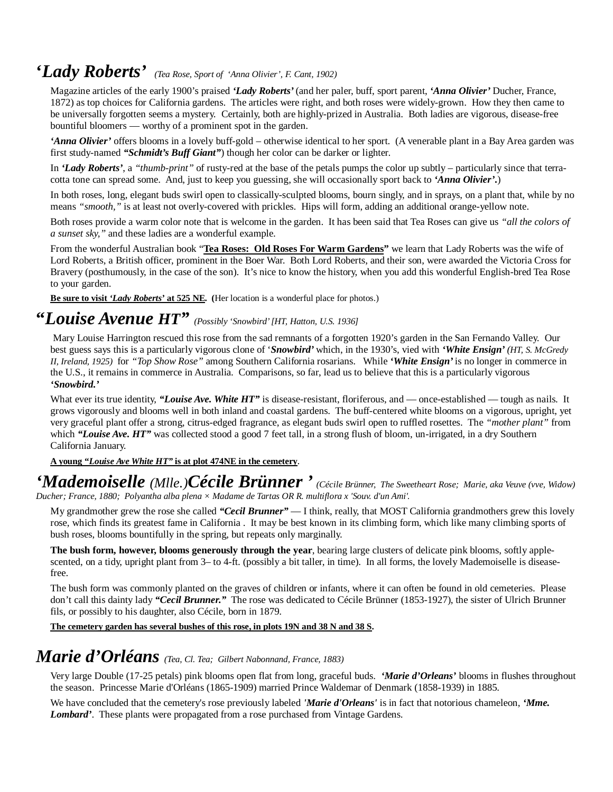### **'***Lady Roberts' (Tea Rose, Sport of 'Anna Olivier', F. Cant, 1902)*

Magazine articles of the early 1900's praised *'Lady Roberts'* (and her paler, buff, sport parent, *'Anna Olivier'* Ducher, France, 1872) as top choices for California gardens. The articles were right, and both roses were widely-grown. How they then came to be universally forgotten seems a mystery. Certainly, both are highly-prized in Australia. Both ladies are vigorous, disease-free bountiful bloomers — worthy of a prominent spot in the garden.

*'Anna Olivier'* offers blooms in a lovely buff-gold – otherwise identical to her sport. (A venerable plant in a Bay Area garden was first study-named *"Schmidt's Buff Giant"*) though her color can be darker or lighter.

In *'Lady Roberts'*, a *"thumb-print"* of rusty-red at the base of the petals pumps the color up subtly – particularly since that terracotta tone can spread some. And, just to keep you guessing, she will occasionally sport back to *'Anna Olivier'.*)

In both roses, long, elegant buds swirl open to classically-sculpted blooms, bourn singly, and in sprays, on a plant that, while by no means *"smooth,"* is at least not overly-covered with prickles. Hips will form, adding an additional orange-yellow note.

Both roses provide a warm color note that is welcome in the garden. It has been said that Tea Roses can give us *"all the colors of a sunset sky,"* and these ladies are a wonderful example.

From the wonderful Australian book "**Tea Roses: Old Roses For Warm Gardens"** we learn that Lady Roberts was the wife of Lord Roberts, a British officer, prominent in the Boer War. Both Lord Roberts, and their son, were awarded the Victoria Cross for Bravery (posthumously, in the case of the son). It's nice to know the history, when you add this wonderful English-bred Tea Rose to your garden.

**Be sure to visit** *'Lady Roberts'* **at 525 NE. (**Her location is a wonderful place for photos.)

## **"***Louise Avenue HT" (Possibly 'Snowbird' [HT, Hatton, U.S. 1936]*

 Mary Louise Harrington rescued this rose from the sad remnants of a forgotten 1920's garden in the San Fernando Valley. Our best guess says this is a particularly vigorous clone of '*Snowbird'* which, in the 1930's, vied with *'White Ensign' (HT, S. McGredy II, Ireland, 1925)* for *"Top Show Rose"* among Southern California rosarians. While *'White Ensign'* is no longer in commerce in the U.S., it remains in commerce in Australia. Comparisons, so far, lead us to believe that this is a particularly vigorous *'Snowbird.'*

What ever its true identity, *"Louise Ave. White HT"* is disease-resistant, floriferous, and — once-established — tough as nails. It grows vigorously and blooms well in both inland and coastal gardens. The buff-centered white blooms on a vigorous, upright, yet very graceful plant offer a strong, citrus-edged fragrance, as elegant buds swirl open to ruffled rosettes. The *"mother plant"* from which "Louise Ave. HT" was collected stood a good 7 feet tall, in a strong flush of bloom, un-irrigated, in a dry Southern California January.

**A young "***Louise Ave White HT"* **is at plot 474NE in the cemetery**.

#### *'Mademoiselle (Mlle.)Cécile Brünner ' (Cécile Brünner, The Sweetheart Rose; Marie, aka Veuve (vve, Widow) Ducher; France, 1880; Polyantha alba plena × Madame de Tartas OR R. multiflora x 'Souv. d'un Ami'.*

My grandmother grew the rose she called *"Cecil Brunner"* — I think, really, that MOST California grandmothers grew this lovely rose, which finds its greatest fame in California . It may be best known in its climbing form, which like many climbing sports of bush roses, blooms bountifully in the spring, but repeats only marginally.

**The bush form, however, blooms generously through the year**, bearing large clusters of delicate pink blooms, softly applescented, on a tidy, upright plant from 3– to 4-ft. (possibly a bit taller, in time). In all forms, the lovely Mademoiselle is diseasefree.

The bush form was commonly planted on the graves of children or infants, where it can often be found in old cemeteries. Please don't call this dainty lady *"Cecil Brunner."* The rose was dedicated to Cécile Brünner (1853-1927), the sister of Ulrich Brunner fils, or possibly to his daughter, also Cécile, born in 1879.

**The cemetery garden has several bushes of this rose, in plots 19N and 38 N and 38 S.**

### *Marie d'Orléans (Tea, Cl. Tea; Gilbert Nabonnand, France, 1883)*

Very large Double (17-25 petals) pink blooms open flat from long, graceful buds. *'Marie d'Orleans'* blooms in flushes throughout the season. Princesse Marie d'Orléans (1865-1909) married Prince Waldemar of Denmark (1858-1939) in 1885.

We have concluded that the cemetery's rose previously labeled *'Marie d'Orleans'* is in fact that notorious chameleon, *'Mme. Lombard'*. These plants were propagated from a rose purchased from Vintage Gardens.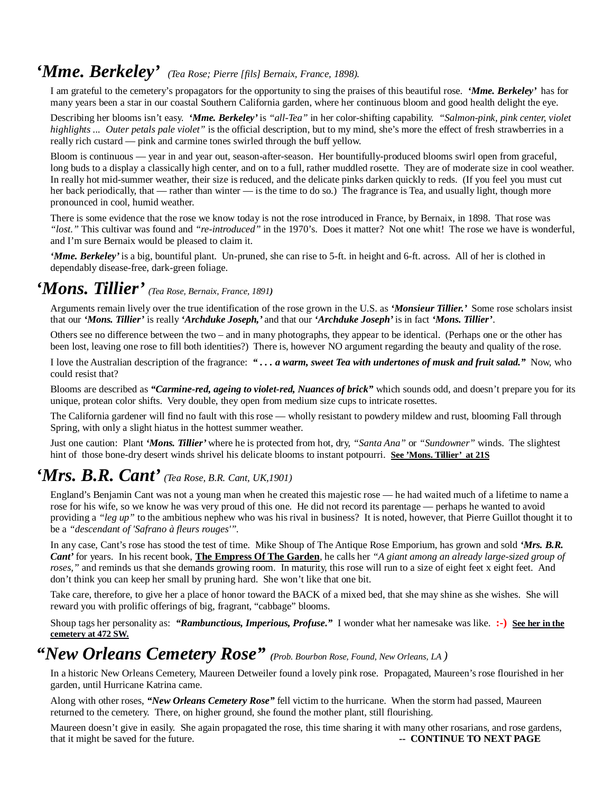### *'Mme. Berkeley' (Tea Rose; Pierre [fils] Bernaix, France, 1898).*

I am grateful to the cemetery's propagators for the opportunity to sing the praises of this beautiful rose. *'Mme. Berkeley'* has for many years been a star in our coastal Southern California garden, where her continuous bloom and good health delight the eye.

Describing her blooms isn't easy. *'Mme. Berkeley'* is *"all-Tea"* in her color-shifting capability. *"Salmon-pink, pink center, violet highlights ... Outer petals pale violet"* is the official description, but to my mind, she's more the effect of fresh strawberries in a really rich custard — pink and carmine tones swirled through the buff yellow.

Bloom is continuous — year in and year out, season-after-season. Her bountifully-produced blooms swirl open from graceful, long buds to a display a classically high center, and on to a full, rather muddled rosette. They are of moderate size in cool weather. In really hot mid-summer weather, their size is reduced, and the delicate pinks darken quickly to reds. (If you feel you must cut her back periodically, that — rather than winter — is the time to do so.) The fragrance is Tea, and usually light, though more pronounced in cool, humid weather.

There is some evidence that the rose we know today is not the rose introduced in France, by Bernaix, in 1898. That rose was *"lost."* This cultivar was found and *"re-introduced"* in the 1970's. Does it matter? Not one whit! The rose we have is wonderful, and I'm sure Bernaix would be pleased to claim it.

*'Mme. Berkeley'* is a big, bountiful plant. Un-pruned, she can rise to 5-ft. in height and 6-ft. across. All of her is clothed in dependably disease-free, dark-green foliage.

### *'Mons. Tillier' (Tea Rose, Bernaix, France, 1891)*

Arguments remain lively over the true identification of the rose grown in the U.S. as *'Monsieur Tillier.'* Some rose scholars insist that our *'Mons. Tillier'* is really *'Archduke Joseph,'* and that our *'Archduke Joseph'* is in fact *'Mons. Tillier'*.

Others see no difference between the two – and in many photographs, they appear to be identical. (Perhaps one or the other has been lost, leaving one rose to fill both identities?) There is, however NO argument regarding the beauty and quality of the rose.

I love the Australian description of the fragrance: *" . . . a warm, sweet Tea with undertones of musk and fruit salad."* Now, who could resist that?

Blooms are described as *"Carmine-red, ageing to violet-red, Nuances of brick"* which sounds odd, and doesn't prepare you for its unique, protean color shifts. Very double, they open from medium size cups to intricate rosettes.

The California gardener will find no fault with this rose — wholly resistant to powdery mildew and rust, blooming Fall through Spring, with only a slight hiatus in the hottest summer weather.

Just one caution: Plant *'Mons. Tillier'* where he is protected from hot, dry, *"Santa Ana"* or *"Sundowner"* winds. The slightest hint of those bone-dry desert winds shrivel his delicate blooms to instant potpourri. **See 'Mons. Tillier' at 21S**

### *'Mrs. B.R. Cant' (Tea Rose, B.R. Cant, UK,1901)*

England's Benjamin Cant was not a young man when he created this majestic rose — he had waited much of a lifetime to name a rose for his wife, so we know he was very proud of this one. He did not record its parentage — perhaps he wanted to avoid providing a *"leg up"* to the ambitious nephew who was his rival in business? It is noted, however, that Pierre Guillot thought it to be a *"descendant of 'Safrano à fleurs rouges'".*

In any case, Cant's rose has stood the test of time. Mike Shoup of The Antique Rose Emporium, has grown and sold *'Mrs. B.R. Cant'* for years. In his recent book, **The Empress Of The Garden**, he calls her *"A giant among an already large-sized group of roses*," and reminds us that she demands growing room. In maturity, this rose will run to a size of eight feet x eight feet. And don't think you can keep her small by pruning hard. She won't like that one bit.

Take care, therefore, to give her a place of honor toward the BACK of a mixed bed, that she may shine as she wishes. She will reward you with prolific offerings of big, fragrant, "cabbage" blooms.

Shoup tags her personality as: *"Rambunctious, Imperious, Profuse."* I wonder what her namesake was like. **:-) See her in the cemetery at 472 SW.**

### *"New Orleans Cemetery Rose" (Prob. Bourbon Rose, Found, New Orleans, LA )*

In a historic New Orleans Cemetery, Maureen Detweiler found a lovely pink rose. Propagated, Maureen's rose flourished in her garden, until Hurricane Katrina came.

Along with other roses, *"New Orleans Cemetery Rose"* fell victim to the hurricane. When the storm had passed, Maureen returned to the cemetery. There, on higher ground, she found the mother plant, still flourishing.

Maureen doesn't give in easily. She again propagated the rose, this time sharing it with many other rosarians, and rose gardens, that it might be saved for the future. **All and the saved for the future. -- CONTINUE TO NEXT PAGE**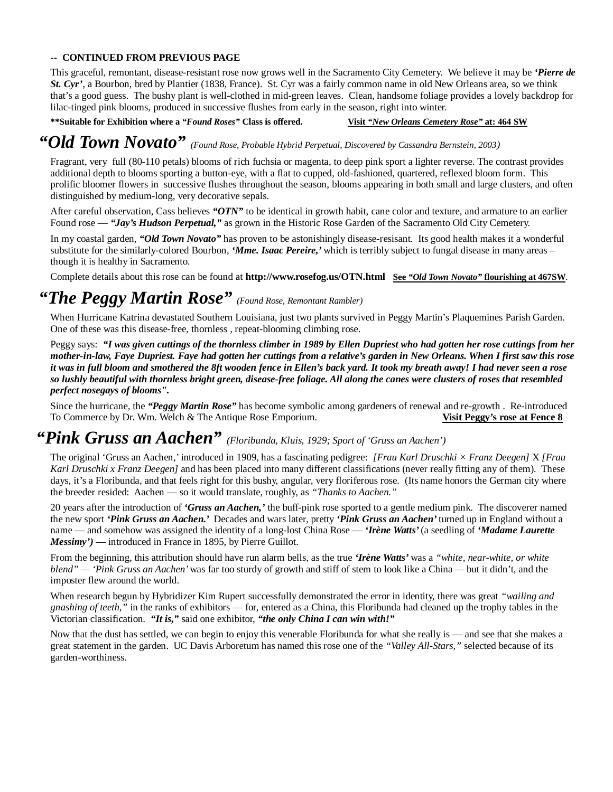#### **-- CONTINUED FROM PREVIOUS PAGE**

This graceful, remontant, disease-resistant rose now grows well in the Sacramento City Cemetery. We believe it may be *'Pierre de St. Cyr'*, a Bourbon, bred by Plantier (1838, France). St. Cyr was a fairly common name in old New Orleans area, so we think that's a good guess. The bushy plant is well-clothed in mid-green leaves. Clean, handsome foliage provides a lovely backdrop for lilac-tinged pink blooms, produced in successive flushes from early in the season, right into winter.

#### **\*\*Suitable for Exhibition where a** *"Found Roses"* **Class is offered. Visit** *"New Orleans Cemetery Rose"* **at: 464 SW**

### *"Old Town Novato" (Found Rose, Probable Hybrid Perpetual, Discovered by Cassandra Bernstein, 2003)*

Fragrant, very full (80-110 petals) blooms of rich fuchsia or magenta, to deep pink sport a lighter reverse. The contrast provides additional depth to blooms sporting a button-eye, with a flat to cupped, old-fashioned, quartered, reflexed bloom form. This prolific bloomer flowers in successive flushes throughout the season, blooms appearing in both small and large clusters, and often distinguished by medium-long, very decorative sepals.

After careful observation, Cass believes *"OTN"* to be identical in growth habit, cane color and texture, and armature to an earlier Found rose — *"Jay's Hudson Perpetual,"* as grown in the Historic Rose Garden of the Sacramento Old City Cemetery.

In my coastal garden, *"Old Town Novato"* has proven to be astonishingly disease-resisant. Its good health makes it a wonderful substitute for the similarly-colored Bourbon, *'Mme. Isaac Pereire,'* which is terribly subject to fungal disease in many areas – though it is healthy in Sacramento.

Complete details about this rose can be found at **http://www.rosefog.us/OTN.html See** *"Old Town Novato"* **flourishing at 467SW**.

### *"The Peggy Martin Rose" (Found Rose, Remontant Rambler)*

When Hurricane Katrina devastated Southern Louisiana, just two plants survived in Peggy Martin's Plaquemines Parish Garden. One of these was this disease-free, thornless , repeat-blooming climbing rose.

Peggy says: *"I was given cuttings of the thornless climber in 1989 by Ellen Dupriest who had gotten her rose cuttings from her mother-in-law, Faye Dupriest. Faye had gotten her cuttings from a relative's garden in New Orleans. When I first saw this rose it was in full bloom and smothered the 8ft wooden fence in Ellen's back yard. It took my breath away! I had never seen a rose so lushly beautiful with thornless bright green, disease-free foliage. All along the canes were clusters of roses that resembled perfect nosegays of blooms".* 

Since the hurricane, the *"Peggy Martin Rose"* has become symbolic among gardeners of renewal and re-growth . Re-introduced To Commerce by Dr. Wm. Welch & The Antique Rose Emporium. **Visit Peggy's rose at Fence 8**

### *"Pink Gruss an Aachen" (Floribunda, Kluis, 1929; Sport of 'Gruss an Aachen')*

The original 'Gruss an Aachen,' introduced in 1909, has a fascinating pedigree: *[Frau Karl Druschki × Franz Deegen]* X *[Frau Karl Druschki x Franz Deegen]* and has been placed into many different classifications (never really fitting any of them). These days, it's a Floribunda, and that feels right for this bushy, angular, very floriferous rose. (Its name honors the German city where the breeder resided: Aachen — so it would translate, roughly, as *"Thanks to Aachen."*

20 years after the introduction of *'Gruss an Aachen,'* the buff-pink rose sported to a gentle medium pink. The discoverer named the new sport *'Pink Gruss an Aachen.'* Decades and wars later, pretty *'Pink Gruss an Aachen'* turned up in England without a name — and somehow was assigned the identity of a long-lost China Rose — *'Irène Watts'* (a seedling of *'Madame Laurette Messimy'*) — introduced in France in 1895, by Pierre Guillot.

From the beginning, this attribution should have run alarm bells, as the true *'Irène Watts'* was a *"white, near-white, or white blend" — 'Pink Gruss an Aachen'* was far too sturdy of growth and stiff of stem to look like a China *—* but it didn't, and the imposter flew around the world.

When research begun by Hybridizer Kim Rupert successfully demonstrated the error in identity, there was great *"wailing and gnashing of teeth,"* in the ranks of exhibitors — for, entered as a China, this Floribunda had cleaned up the trophy tables in the Victorian classification. *"It is,"* said one exhibitor, *"the only China I can win with!"*

Now that the dust has settled, we can begin to enjoy this venerable Floribunda for what she really is — and see that she makes a great statement in the garden. UC Davis Arboretum has named this rose one of the *"Valley All-Stars,"* selected because of its garden-worthiness.